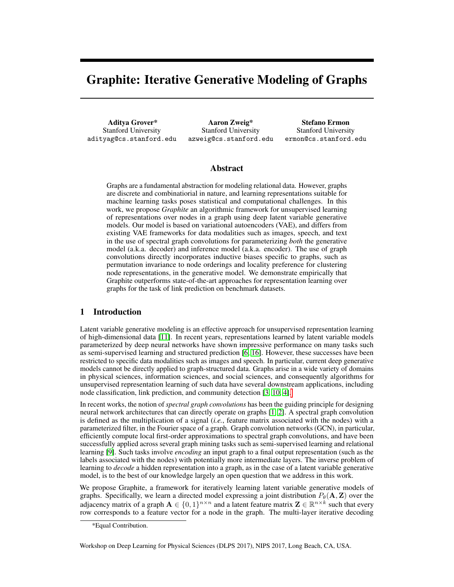# Graphite: Iterative Generative Modeling of Graphs

Aditya Grover\* Stanford University adityag@cs.stanford.edu

Aaron Zweig\* Stanford University azweig@cs.stanford.edu

Stefano Ermon Stanford University ermon@cs.stanford.edu

### Abstract

Graphs are a fundamental abstraction for modeling relational data. However, graphs are discrete and combinatiorial in nature, and learning representations suitable for machine learning tasks poses statistical and computational challenges. In this work, we propose *Graphite* an algorithmic framework for unsupervised learning of representations over nodes in a graph using deep latent variable generative models. Our model is based on variational autoencoders (VAE), and differs from existing VAE frameworks for data modalities such as images, speech, and text in the use of spectral graph convolutions for parameterizing *both* the generative model (a.k.a. decoder) and inference model (a.k.a. encoder). The use of graph convolutions directly incorporates inductive biases specific to graphs, such as permutation invariance to node orderings and locality preference for clustering node representations, in the generative model. We demonstrate empirically that Graphite outperforms state-of-the-art approaches for representation learning over graphs for the task of link prediction on benchmark datasets.

## 1 Introduction

Latent variable generative modeling is an effective approach for unsupervised representation learning of high-dimensional data [\[11\]](#page-4-0). In recent years, representations learned by latent variable models parameterized by deep neural networks have shown impressive performance on many tasks such as semi-supervised learning and structured prediction [\[6,](#page-4-1) [16\]](#page-4-2). However, these successes have been restricted to specific data modalities such as images and speech. In particular, current deep generative models cannot be directly applied to graph-structured data. Graphs arise in a wide variety of domains in physical sciences, information sciences, and social sciences, and consequently algorithms for unsupervised representation learning of such data have several downstream applications, including node classification, link prediction, and community detection [\[3,](#page-4-3) [10,](#page-4-4) [4\]](#page-4-5)[.](#page-0-0)

In recent works, the notion of *spectral graph convolutions* has been the guiding principle for designing neural network architectures that can directly operate on graphs [\[1,](#page-4-6) [2\]](#page-4-7). A spectral graph convolution is defined as the multiplication of a signal (*i.e.*, feature matrix associated with the nodes) with a parameterized filter, in the Fourier space of a graph. Graph convolution networks (GCN), in particular, efficiently compute local first-order approximations to spectral graph convolutions, and have been successfully applied across several graph mining tasks such as semi-supervised learning and relational learning [\[9\]](#page-4-8). Such tasks involve *encoding* an input graph to a final output representation (such as the labels associated with the nodes) with potentially more intermediate layers. The inverse problem of learning to *decode* a hidden representation into a graph, as in the case of a latent variable generative model, is to the best of our knowledge largely an open question that we address in this work.

We propose Graphite, a framework for iteratively learning latent variable generative models of graphs. Specifically, we learn a directed model expressing a joint distribution  $P_{\theta}(\mathbf{A}, \mathbf{Z})$  over the adjacency matrix of a graph  $A \in \{0,1\}^{n \times n}$  and a latent feature matrix  $\mathbf{Z} \in \mathbb{R}^{n \times k}$  such that every row corresponds to a feature vector for a node in the graph. The multi-layer iterative decoding

<span id="page-0-0"></span><sup>\*</sup>Equal Contribution.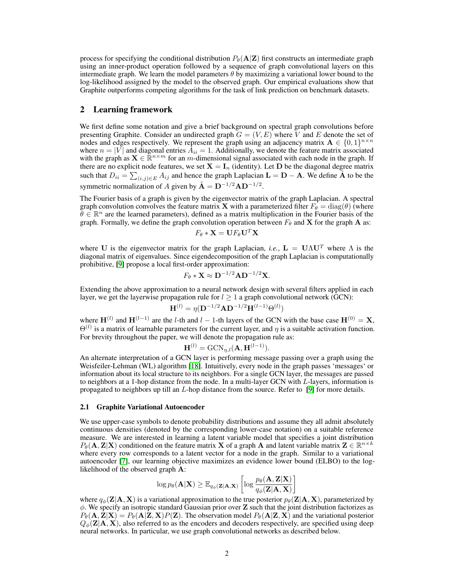process for specifying the conditional distribution  $P_{\theta}(\mathbf{A}|\mathbf{Z})$  first constructs an intermediate graph using an inner-product operation followed by a sequence of graph convolutional layers on this intermediate graph. We learn the model parameters  $\theta$  by maximizing a variational lower bound to the log-likelihood assigned by the model to the observed graph. Our empirical evaluations show that Graphite outperforms competing algorithms for the task of link prediction on benchmark datasets.

## 2 Learning framework

We first define some notation and give a brief background on spectral graph convolutions before presenting Graphite. Consider an undirected graph  $G = (V, E)$  where V and E denote the set of nodes and edges respectively. We represent the graph using an adjacency matrix  $\mathbf{A} \in \{0,1\}^{n \times n}$ where  $n = |V|$  and diagonal entries  $\overline{A}_{ii} = 1$ . Additionally, we denote the feature matrix associated with the graph as  $\mathbf{X} \in \mathbb{R}^{n \times m}$  for an m-dimensional signal associated with each node in the graph. If there are no explicit node features, we set  $X = I_n$  (identity). Let D be the diagonal degree matrix such that  $D_{ii} = \sum_{(i,j) \in E} A_{ij}$  and hence the graph Laplacian  $\mathbf{L} = \mathbf{D} - \mathbf{A}$ . We define  $\tilde{\mathbf{A}}$  to be the symmetric normalization of A given by  $\tilde{A} = D^{-1/2}AD^{-1/2}$ .

The Fourier basis of a graph is given by the eigenvector matrix of the graph Laplacian. A spectral graph convolution convolves the feature matrix **X** with a parameterized filter  $F_{\theta} = \text{diag}(\theta)$  (where  $\theta \in \mathbb{R}^n$  are the learned parameters), defined as a matrix multiplication in the Fourier basis of the graph. Formally, we define the graph convolution operation between  $F_{\theta}$  and **X** for the graph **A** as:

$$
F_{\theta} * \mathbf{X} = \mathbf{U} F_{\theta} \mathbf{U}^T \mathbf{X}
$$

where U is the eigenvector matrix for the graph Laplacian, *i.e.*,  $L = U\Lambda U^{T}$  where  $\Lambda$  is the diagonal matrix of eigenvalues. Since eigendecomposition of the graph Laplacian is computationally prohibitive, [\[9\]](#page-4-8) propose a local first-order approximation:

$$
F_{\theta} * \mathbf{X} \approx \mathbf{D}^{-1/2} \mathbf{A} \mathbf{D}^{-1/2} \mathbf{X}.
$$

Extending the above approximation to a neural network design with several filters applied in each layer, we get the layerwise propagation rule for  $l \geq 1$  a graph convolutional network (GCN):

$$
\mathbf{H}^{(l)} = \eta(\mathbf{D}^{-1/2}\mathbf{A}\mathbf{D}^{-1/2}\mathbf{H}^{(l-1)}\Theta^{(l)})
$$

where  $\mathbf{H}^{(l)}$  and  $\mathbf{H}^{(l-1)}$  are the l-th and l – 1-th layers of the GCN with the base case  $\mathbf{H}^{(0)} = \mathbf{X}$ ,  $\Theta^{(l)}$  is a matrix of learnable parameters for the current layer, and  $\eta$  is a suitable activation function. For brevity throughout the paper, we will denote the propagation rule as:

$$
\mathbf{H}^{(l)} = \text{GCN}_{\eta,l}(\mathbf{A}, \mathbf{H}^{(l-1)}).
$$

An alternate interpretation of a GCN layer is performing message passing over a graph using the Weisfeiler-Lehman (WL) algorithm [\[18\]](#page-4-9). Intuitively, every node in the graph passes 'messages' or information about its local structure to its neighbors. For a single GCN layer, the messages are passed to neighbors at a 1-hop distance from the node. In a multi-layer GCN with  $L$ -layers, information is propagated to neighbors up till an  $L$ -hop distance from the source. Refer to [\[9\]](#page-4-8) for more details.

#### 2.1 Graphite Variational Autoencoder

We use upper-case symbols to denote probability distributions and assume they all admit absolutely continuous densities (denoted by the corresponding lower-case notation) on a suitable reference measure. We are interested in learning a latent variable model that specifies a joint distribution  $P_\theta(\mathbf{A}, \mathbf{Z}|\mathbf{X})$  conditioned on the feature matrix **X** of a graph **A** and latent variable matrix  $\mathbf{Z} \in \mathbb{R}^{n \times k}$ where every row corresponds to a latent vector for a node in the graph. Similar to a variational autoencoder [\[7\]](#page-4-10), our learning objective maximizes an evidence lower bound (ELBO) to the loglikelihood of the observed graph A:

$$
\log p_\theta(\mathbf{A}|\mathbf{X}) \geq \mathbb{E}_{q_\phi(\mathbf{Z}|\mathbf{A}, \mathbf{X})}\left[\log \frac{p_\theta(\mathbf{A}, \mathbf{Z}|\mathbf{X})}{q_\phi(\mathbf{Z}|\mathbf{A}, \mathbf{X})}\right]
$$

where  $q_{\phi}(\mathbf{Z}|\mathbf{A}, \mathbf{X})$  is a variational approximation to the true posterior  $p_{\theta}(\mathbf{Z}|\mathbf{A}, \mathbf{X})$ , parameterized by  $\phi$ . We specify an isotropic standard Gaussian prior over  $\mathbb Z$  such that the joint distribution factorizes as  $P_{\theta}(\mathbf{A}, \mathbf{Z} | \mathbf{X}) = P_{\theta}(\mathbf{A} | \mathbf{Z}, \mathbf{X}) P(\mathbf{Z})$ . The observation model  $P_{\theta}(\mathbf{A} | \mathbf{Z}, \mathbf{X})$  and the variational posterior  $Q_{\phi}(\mathbf{Z}|\mathbf{A}, \mathbf{X})$ , also referred to as the encoders and decoders respectively, are specified using deep neural networks. In particular, we use graph convolutional networks as described below.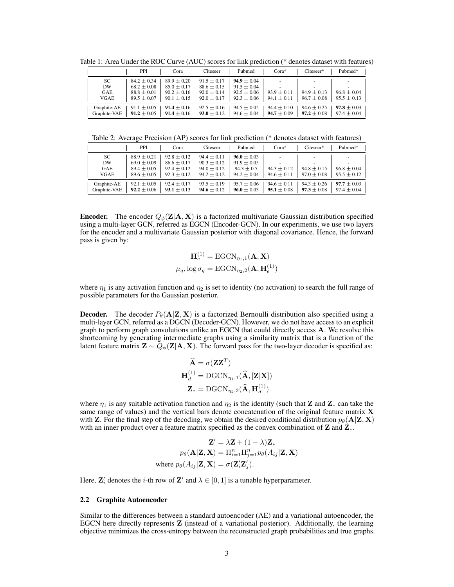|              | PPI             | Cora            | Citeseer        | Pubmed          | $Cora*$         | Citeseer*       | Pubmed*         |
|--------------|-----------------|-----------------|-----------------|-----------------|-----------------|-----------------|-----------------|
| SC           | $84.2 \pm 0.34$ | $89.9 \pm 0.20$ | $91.5 \pm 0.17$ | $94.9 \pm 0.04$ |                 | ۰               |                 |
| <b>DW</b>    | $68.2 \pm 0.08$ | $85.0 \pm 0.17$ | $88.6 \pm 0.15$ | $91.5 \pm 0.04$ |                 |                 |                 |
| GAE          | $88.8 \pm 0.01$ | $90.2 \pm 0.16$ | $92.0 \pm 0.14$ | $92.5 \pm 0.06$ | $93.9 \pm 0.11$ | $94.9 \pm 0.13$ | $96.8 \pm 0.04$ |
| VGAE         | $89.5 \pm 0.07$ | $90.1 \pm 0.15$ | $92.0 \pm 0.17$ | $92.3 \pm 0.06$ | $94.1 \pm 0.11$ | $96.7 \pm 0.08$ | $95.5 \pm 0.13$ |
| Graphite-AE  | $91.1 \pm 0.05$ | $91.4 \pm 0.16$ | $92.5 \pm 0.16$ | $94.5 \pm 0.05$ | $94.4 \pm 0.10$ | $94.6 \pm 0.25$ | $97.8 \pm 0.03$ |
| Graphite-VAE | $91.2 \pm 0.05$ | $91.4 \pm 0.16$ | $93.0 \pm 0.12$ | $94.6 \pm 0.04$ | $94.7 \pm 0.09$ | $97.2 \pm 0.08$ | $97.4 \pm 0.04$ |

<span id="page-2-0"></span>Table 1: Area Under the ROC Curve (AUC) scores for link prediction (\* denotes dataset with features)

<span id="page-2-1"></span>Table 2: Average Precision (AP) scores for link prediction (\* denotes dataset with features)

|                                | <b>PPI</b>                                                               | Cora                                                                     | Citeseer                                                               | Pubmed                                                                  | $Cora*$                            | Citeseer*                               | Pubmed*                            |
|--------------------------------|--------------------------------------------------------------------------|--------------------------------------------------------------------------|------------------------------------------------------------------------|-------------------------------------------------------------------------|------------------------------------|-----------------------------------------|------------------------------------|
| SC<br>DW<br><b>GAE</b><br>VGAE | $88.9 \pm 0.21$<br>$69.0 \pm 0.09$<br>$89.4 \pm 0.05$<br>$89.6 \pm 0.05$ | $92.8 \pm 0.12$<br>$86.6 \pm 0.17$<br>$92.4 \pm 0.12$<br>$92.3 \pm 0.12$ | $94.4 \pm 0.11$<br>$90.3 \pm 0.12$<br>$94.0 + 0.12$<br>$94.2 \pm 0.12$ | $96.0 \pm 0.03$<br>$91.9 \pm 0.05$<br>$94.3 \pm 0.5$<br>$94.2 \pm 0.04$ | $94.3 \pm 0.12$<br>$94.6 \pm 0.11$ | ٠<br>$94.8 \pm 0.15$<br>$97.0 \pm 0.08$ | $96.8 \pm 0.04$<br>$95.5 \pm 0.12$ |
| Graphite-AE<br>Graphite-VAE    | $92.1 \pm 0.05$<br>$92.2 \pm 0.06$                                       | $92.4 \pm 0.17$<br>$93.1 \pm 0.13$                                       | $93.5 \pm 0.19$<br>$94.6 \pm 0.12$                                     | $95.7 \pm 0.06$<br>$96.0 \pm 0.03$                                      | $94.6 \pm 0.11$<br>$95.1 \pm 0.08$ | $94.3 \pm 0.26$<br>$97.3 \pm 0.08$      | $97.7 \pm 0.03$<br>$97.4 \pm 0.04$ |

**Encoder.** The encoder  $Q_{\phi}(\mathbf{Z}|\mathbf{A}, \mathbf{X})$  is a factorized multivariate Gaussian distribution specified using a multi-layer GCN, referred as EGCN (Encoder-GCN). In our experiments, we use two layers for the encoder and a multivariate Gaussian posterior with diagonal covariance. Hence, the forward pass is given by:

$$
\mathbf{H}_e^{(1)} = \text{EGCN}_{\eta_1,1}(\mathbf{A}, \mathbf{X})
$$

$$
\mu_q, \log \sigma_q = \text{EGCN}_{\eta_2,2}(\mathbf{A}, \mathbf{H}_e^{(1)})
$$

where  $\eta_1$  is any activation function and  $\eta_2$  is set to identity (no activation) to search the full range of possible parameters for the Gaussian posterior.

**Decoder.** The decoder  $P_{\theta}(\mathbf{A}|\mathbf{Z}, \mathbf{X})$  is a factorized Bernoulli distribution also specified using a multi-layer GCN, referred as a DGCN (Decoder-GCN). However, we do not have access to an explicit graph to perform graph convolutions unlike an EGCN that could directly access A. We resolve this shortcoming by generating intermediate graphs using a similarity matrix that is a function of the latent feature matrix  $\mathbf{Z} \sim Q_{\phi}(\mathbf{Z}|\mathbf{A}, \mathbf{X})$ . The forward pass for the two-layer decoder is specified as:

$$
\hat{\mathbf{A}} = \sigma(\mathbf{Z}\mathbf{Z}^T)
$$

$$
\mathbf{H}_d^{(1)} = \text{DGCN}_{\eta_1,1}(\hat{\mathbf{A}}, [\mathbf{Z}|\mathbf{X}])
$$

$$
\mathbf{Z}_* = \text{DGCN}_{\eta_2,2}(\hat{\mathbf{A}}, \mathbf{H}_d^{(1)})
$$

where  $\eta_1$  is any suitable activation function and  $\eta_2$  is the identity (such that **Z** and **Z**<sub>\*</sub> can take the same range of values) and the vertical bars denote concatenation of the original feature matrix X with Z. For the final step of the decoding, we obtain the desired conditional distribution  $p_\theta(\mathbf{A}|\mathbf{Z}, \mathbf{X})$ with an inner product over a feature matrix specified as the convex combination of Z and Z<sub>\*</sub>.

$$
\mathbf{Z}' = \lambda \mathbf{Z} + (1 - \lambda) \mathbf{Z}_*
$$
  
\n
$$
p_{\theta}(\mathbf{A}|\mathbf{Z}, \mathbf{X}) = \Pi_{i=1}^n \Pi_{j=1}^n p_{\theta}(A_{ij}|\mathbf{Z}, \mathbf{X})
$$
  
\nwhere  $p_{\theta}(A_{ij}|\mathbf{Z}, \mathbf{X}) = \sigma(\mathbf{Z}'_i \mathbf{Z}'_j).$ 

Here,  $\mathbf{Z}'_i$  denotes the *i*-th row of  $\mathbf{Z}'$  and  $\lambda \in [0, 1]$  is a tunable hyperparameter.

#### 2.2 Graphite Autoencoder

Similar to the differences between a standard autoencoder (AE) and a variational autoencoder, the EGCN here directly represents Z (instead of a variational posterior). Additionally, the learning objective minimizes the cross-entropy between the reconstructed graph probabilities and true graphs.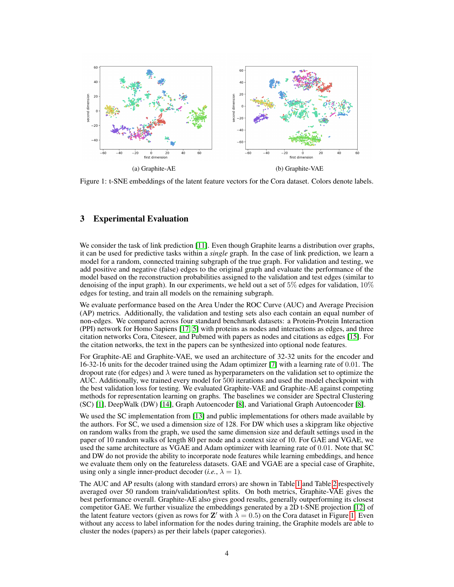<span id="page-3-0"></span>

Figure 1: t-SNE embeddings of the latent feature vectors for the Cora dataset. Colors denote labels.

## 3 Experimental Evaluation

We consider the task of link prediction [\[11\]](#page-4-0). Even though Graphite learns a distribution over graphs, it can be used for predictive tasks within a *single* graph. In the case of link prediction, we learn a model for a random, connected training subgraph of the true graph. For validation and testing, we add positive and negative (false) edges to the original graph and evaluate the performance of the model based on the reconstruction probabilities assigned to the validation and test edges (similar to denoising of the input graph). In our experiments, we held out a set of 5% edges for validation,  $10\%$ edges for testing, and train all models on the remaining subgraph.

We evaluate performance based on the Area Under the ROC Curve (AUC) and Average Precision (AP) metrics. Additionally, the validation and testing sets also each contain an equal number of non-edges. We compared across four standard benchmark datasets: a Protein-Protein Interaction (PPI) network for Homo Sapiens [\[17,](#page-4-11) [5\]](#page-4-12) with proteins as nodes and interactions as edges, and three citation networks Cora, Citeseer, and Pubmed with papers as nodes and citations as edges [\[15\]](#page-4-13). For the citation networks, the text in the papers can be synthesized into optional node features.

For Graphite-AE and Graphite-VAE, we used an architecture of 32-32 units for the encoder and 16-32-16 units for the decoder trained using the Adam optimizer [\[7\]](#page-4-10) with a learning rate of 0.01. The dropout rate (for edges) and  $\lambda$  were tuned as hyperparameters on the validation set to optimize the AUC. Additionally, we trained every model for 500 iterations and used the model checkpoint with the best validation loss for testing. We evaluated Graphite-VAE and Graphite-AE against competing methods for representation learning on graphs. The baselines we consider are Spectral Clustering (SC) [\[1\]](#page-4-6), DeepWalk (DW) [\[14\]](#page-4-14), Graph Autoencoder [\[8\]](#page-4-15), and Variational Graph Autoencoder [\[8\]](#page-4-15).

We used the SC implementation from [\[13\]](#page-4-16) and public implementations for others made available by the authors. For SC, we used a dimension size of 128. For DW which uses a skipgram like objective on random walks from the graph, we used the same dimension size and default settings used in the paper of 10 random walks of length 80 per node and a context size of 10. For GAE and VGAE, we used the same architecture as VGAE and Adam optimizer with learning rate of 0.01. Note that SC and DW do not provide the ability to incorporate node features while learning embeddings, and hence we evaluate them only on the featureless datasets. GAE and VGAE are a special case of Graphite, using only a single inner-product decoder (*i.e.*,  $\lambda = 1$ ).

The AUC and AP results (along with standard errors) are shown in Table [1](#page-2-0) and Table [2](#page-2-1) respectively averaged over 50 random train/validation/test splits. On both metrics, Graphite-VAE gives the best performance overall. Graphite-AE also gives good results, generally outperforming its closest competitor GAE. We further visualize the embeddings generated by a 2D t-SNE projection [\[12\]](#page-4-17) of the latent feature vectors (given as rows for Z' with  $\lambda = 0.5$ ) on the Cora dataset in Figure [1.](#page-3-0) Even without any access to label information for the nodes during training, the Graphite models are able to cluster the nodes (papers) as per their labels (paper categories).